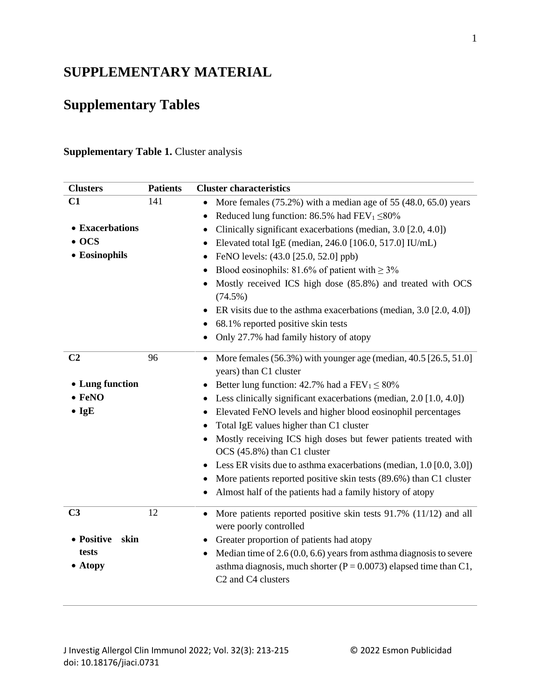## **SUPPLEMENTARY MATERIAL**

## **Supplementary Tables**

## **Supplementary Table 1. Cluster analysis**

| <b>Clusters</b>    | <b>Patients</b> | <b>Cluster characteristics</b>                                                                                      |
|--------------------|-----------------|---------------------------------------------------------------------------------------------------------------------|
| C1                 | 141             | More females (75.2%) with a median age of 55 (48.0, 65.0) years                                                     |
|                    |                 | Reduced lung function: 86.5% had $FEV_1 \leq 80\%$                                                                  |
| • Exacerbations    |                 | Clinically significant exacerbations (median, 3.0 [2.0, 4.0])                                                       |
| $\bullet$ OCS      |                 | Elevated total IgE (median, 246.0 [106.0, 517.0] IU/mL)                                                             |
| • Eosinophils      |                 | FeNO levels: (43.0 [25.0, 52.0] ppb)                                                                                |
|                    |                 | Blood eosinophils: 81.6% of patient with $\geq$ 3%                                                                  |
|                    |                 | Mostly received ICS high dose (85.8%) and treated with OCS<br>$(74.5\%)$                                            |
|                    |                 | ER visits due to the asthma exacerbations (median, 3.0 [2.0, 4.0])<br>$\bullet$                                     |
|                    |                 | 68.1% reported positive skin tests                                                                                  |
|                    |                 | Only 27.7% had family history of atopy                                                                              |
| C <sub>2</sub>     | 96              | More females $(56.3\%)$ with younger age (median, $40.5$ [26.5, 51.0]<br>$\bullet$<br>years) than C1 cluster        |
| • Lung function    |                 | Better lung function: 42.7% had a $FEV_1 \le 80\%$                                                                  |
| $\bullet$ FeNO     |                 | Less clinically significant exacerbations (median, 2.0 [1.0, 4.0])                                                  |
| $\bullet$ IgE      |                 | Elevated FeNO levels and higher blood eosinophil percentages                                                        |
|                    |                 | Total IgE values higher than C1 cluster                                                                             |
|                    |                 | Mostly receiving ICS high doses but fewer patients treated with<br>OCS (45.8%) than C1 cluster                      |
|                    |                 | Less ER visits due to asthma exacerbations (median, 1.0 [0.0, 3.0])                                                 |
|                    |                 | More patients reported positive skin tests (89.6%) than C1 cluster                                                  |
|                    |                 | Almost half of the patients had a family history of atopy                                                           |
| C <sub>3</sub>     | 12              | More patients reported positive skin tests 91.7% (11/12) and all<br>$\bullet$<br>were poorly controlled             |
| • Positive<br>skin |                 | Greater proportion of patients had atopy<br>٠                                                                       |
| tests              |                 | Median time of $2.6(0.0, 6.6)$ years from asthma diagnosis to severe                                                |
| • Atopy            |                 | asthma diagnosis, much shorter ( $P = 0.0073$ ) elapsed time than C1,<br>C <sub>2</sub> and C <sub>4</sub> clusters |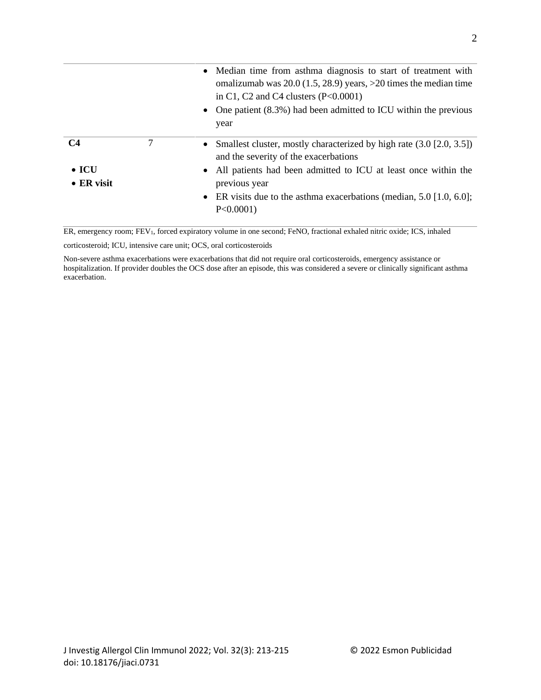|                                               |   | • Median time from asthma diagnosis to start of treatment with<br>omalizumab was $20.0$ (1.5, 28.9) years, >20 times the median time<br>in C1, C2 and C4 clusters $(P<0.0001)$<br>• One patient $(8.3\%)$ had been admitted to ICU within the previous<br>year                                  |
|-----------------------------------------------|---|-------------------------------------------------------------------------------------------------------------------------------------------------------------------------------------------------------------------------------------------------------------------------------------------------|
| C <sub>4</sub><br>$\bullet$ ICU<br>• ER visit | 7 | • Smallest cluster, mostly characterized by high rate $(3.0 \, [2.0, 3.5])$<br>and the severity of the exacerbations<br>• All patients had been admitted to ICU at least once within the<br>previous year<br>• ER visits due to the asthma exacerbations (median, $5.0$ [1.0, 6.0];<br>P<0.0001 |

ER, emergency room; FEV1, forced expiratory volume in one second; FeNO, fractional exhaled nitric oxide; ICS, inhaled

corticosteroid; ICU, intensive care unit; OCS, oral corticosteroids

Non-severe asthma exacerbations were exacerbations that did not require oral corticosteroids, emergency assistance or hospitalization. If provider doubles the OCS dose after an episode, this was considered a severe or clinically significant asthma exacerbation.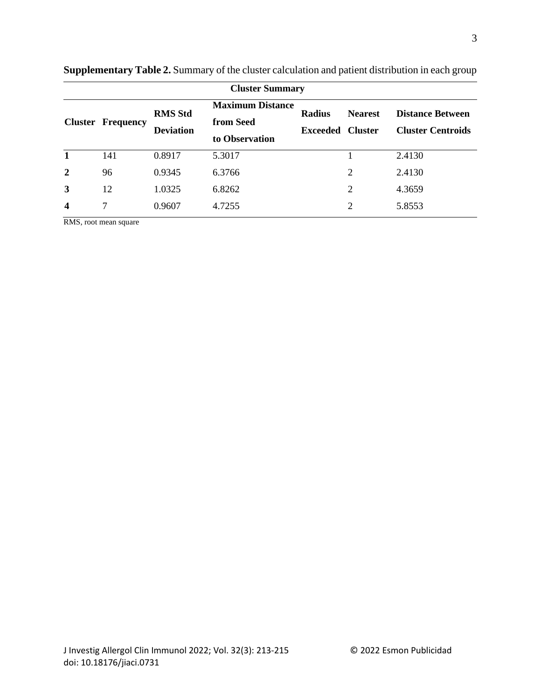| <b>Cluster Summary</b>  |           |                                    |                                                        |                                  |                                  |                                                     |  |
|-------------------------|-----------|------------------------------------|--------------------------------------------------------|----------------------------------|----------------------------------|-----------------------------------------------------|--|
| <b>Cluster</b>          | Frequency | <b>RMS Std</b><br><b>Deviation</b> | <b>Maximum Distance</b><br>from Seed<br>to Observation | <b>Radius</b><br><b>Exceeded</b> | <b>Nearest</b><br><b>Cluster</b> | <b>Distance Between</b><br><b>Cluster Centroids</b> |  |
| 1                       | 141       | 0.8917                             | 5.3017                                                 |                                  |                                  | 2.4130                                              |  |
| $\overline{2}$          | 96        | 0.9345                             | 6.3766                                                 |                                  | 2                                | 2.4130                                              |  |
| 3                       | 12        | 1.0325                             | 6.8262                                                 |                                  | $\overline{2}$                   | 4.3659                                              |  |
| $\overline{\mathbf{4}}$ | 7         | 0.9607                             | 4.7255                                                 |                                  | $\overline{2}$                   | 5.8553                                              |  |

**Supplementary Table 2.** Summary of the cluster calculation and patient distribution in each group

RMS, root mean square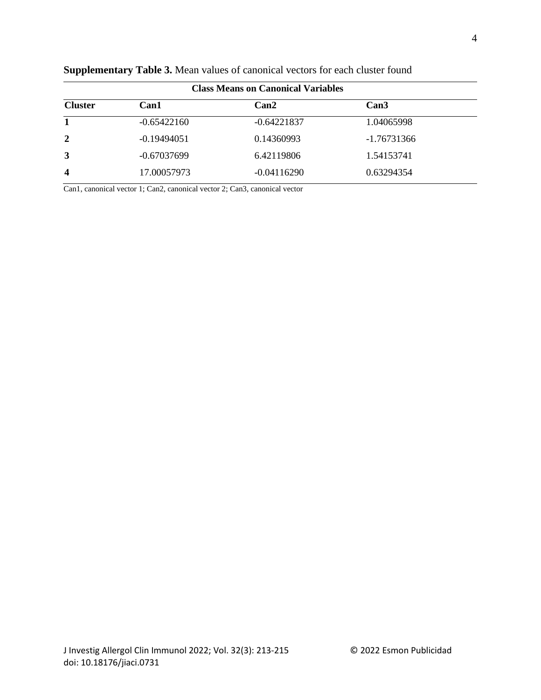| <b>Class Means on Canonical Variables</b> |               |               |             |  |  |  |  |
|-------------------------------------------|---------------|---------------|-------------|--|--|--|--|
| <b>Cluster</b>                            | Can1          | Can2          | Can3        |  |  |  |  |
| 1                                         | $-0.65422160$ | $-0.64221837$ | 1.04065998  |  |  |  |  |
| $\overline{2}$                            | $-0.19494051$ | 0.14360993    | -1.76731366 |  |  |  |  |
| 3                                         | $-0.67037699$ | 6.42119806    | 1.54153741  |  |  |  |  |
| 4                                         | 17.00057973   | $-0.04116290$ | 0.63294354  |  |  |  |  |

**Supplementary Table 3.** Mean values of canonical vectors for each cluster found

Can1, canonical vector 1; Can2, canonical vector 2; Can3, canonical vector

4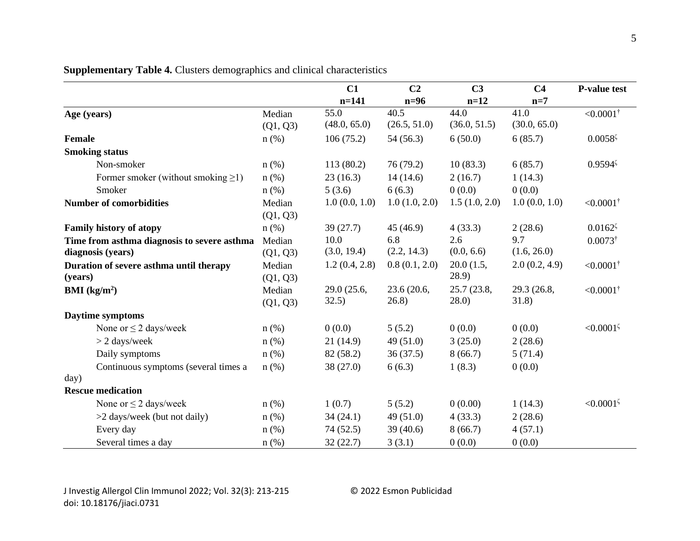|                                                                  |                    | C1                   | C <sub>2</sub>       | C <sub>3</sub>        | C <sub>4</sub>       | <b>P-value test</b>   |
|------------------------------------------------------------------|--------------------|----------------------|----------------------|-----------------------|----------------------|-----------------------|
|                                                                  |                    | $n=141$              | $n=96$               | $n=12$                | $n=7$                |                       |
| Age (years)                                                      | Median<br>(Q1, Q3) | 55.0<br>(48.0, 65.0) | 40.5<br>(26.5, 51.0) | 44.0<br>(36.0, 51.5)  | 41.0<br>(30.0, 65.0) | $< 0.0001^{\dagger}$  |
| <b>Female</b>                                                    | $n$ (%)            | 106(75.2)            | 54 (56.3)            | 6(50.0)               | 6(85.7)              | $0.0058^{\zeta}$      |
| <b>Smoking status</b>                                            |                    |                      |                      |                       |                      |                       |
| Non-smoker                                                       | $n$ (%)            | 113(80.2)            | 76(79.2)             | 10(83.3)              | 6(85.7)              | $0.9594$ <sup>5</sup> |
| Former smoker (without smoking $\geq$ 1)                         | $n$ (%)            | 23(16.3)             | 14(14.6)             | 2(16.7)               | 1(14.3)              |                       |
| Smoker                                                           | $n$ (%)            | 5(3.6)               | 6(6.3)               | 0(0.0)                | 0(0.0)               |                       |
| <b>Number of comorbidities</b>                                   | Median<br>(Q1, Q3) | 1.0(0.0, 1.0)        | 1.0(1.0, 2.0)        | 1.5(1.0, 2.0)         | 1.0(0.0, 1.0)        | $< 0.0001^{\dagger}$  |
| <b>Family history of atopy</b>                                   | $n$ (%)            | 39(27.7)             | 45(46.9)             | 4(33.3)               | 2(28.6)              | $0.0162^{\zeta}$      |
| Time from asthma diagnosis to severe asthma<br>diagnosis (years) | Median<br>(Q1, Q3) | 10.0<br>(3.0, 19.4)  | 6.8<br>(2.2, 14.3)   | 2.6<br>(0.0, 6.6)     | 9.7<br>(1.6, 26.0)   | $0.0073^{\dagger}$    |
| Duration of severe asthma until therapy<br>(years)               | Median<br>(Q1, Q3) | 1.2(0.4, 2.8)        | 0.8(0.1, 2.0)        | 20.0(1.5,<br>(28.9)   | 2.0(0.2, 4.9)        | $< 0.0001^{\dagger}$  |
| <b>BMI</b> ( $\text{kg/m}^2$ )                                   | Median<br>(Q1, Q3) | 29.0 (25.6,<br>32.5) | 23.6 (20.6,<br>26.8) | 25.7 (23.8,<br>(28.0) | 29.3 (26.8,<br>31.8) | $< 0.0001^{\dagger}$  |
| Daytime symptoms                                                 |                    |                      |                      |                       |                      |                       |
| None or $\leq$ 2 days/week                                       | $n$ (%)            | 0(0.0)               | 5(5.2)               | 0(0.0)                | 0(0.0)               | $< 0.0001^{\zeta}$    |
| $> 2$ days/week                                                  | $n$ (%)            | 21(14.9)             | 49(51.0)             | 3(25.0)               | 2(28.6)              |                       |
| Daily symptoms                                                   | $n$ (%)            | 82 (58.2)            | 36(37.5)             | 8(66.7)               | 5(71.4)              |                       |
| Continuous symptoms (several times a                             | $n$ (%)            | 38 (27.0)            | 6(6.3)               | 1(8.3)                | 0(0.0)               |                       |
| day)                                                             |                    |                      |                      |                       |                      |                       |
| <b>Rescue medication</b>                                         |                    |                      |                      |                       |                      |                       |
| None or $\leq$ 2 days/week                                       | $n$ (%)            | 1(0.7)               | 5(5.2)               | 0(0.00)               | 1(14.3)              | $< 0.0001^{\zeta}$    |
| >2 days/week (but not daily)                                     | $n$ (%)            | 34(24.1)             | 49(51.0)             | 4(33.3)               | 2(28.6)              |                       |
| Every day                                                        | n(%)               | 74 (52.5)            | 39(40.6)             | 8(66.7)               | 4(57.1)              |                       |
| Several times a day                                              | n(%)               | 32(22.7)             | 3(3.1)               | 0(0.0)                | 0(0.0)               |                       |

**Supplementary Table 4.** Clusters demographics and clinical characteristics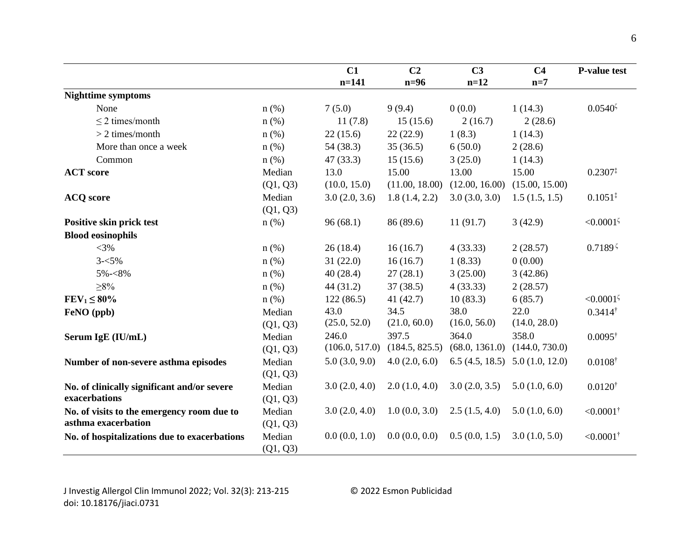|                                              |          | C1             | C <sub>2</sub> | C <sub>3</sub> | C <sub>4</sub>                    | <b>P-value test</b>  |
|----------------------------------------------|----------|----------------|----------------|----------------|-----------------------------------|----------------------|
|                                              |          | $n = 141$      | $n=96$         | $n=12$         | $n=7$                             |                      |
| <b>Nighttime symptoms</b>                    |          |                |                |                |                                   |                      |
| None                                         | $n$ (%)  | 7(5.0)         | 9(9.4)         | 0(0.0)         | 1(14.3)                           | $0.0540^{\zeta}$     |
| $\leq$ 2 times/month                         | $n$ (%)  | 11(7.8)        | 15(15.6)       | 2(16.7)        | 2(28.6)                           |                      |
| $>$ 2 times/month                            | $n$ (%)  | 22(15.6)       | 22(22.9)       | 1(8.3)         | 1(14.3)                           |                      |
| More than once a week                        | $n$ (%)  | 54 (38.3)      | 35(36.5)       | 6(50.0)        | 2(28.6)                           |                      |
| Common                                       | $n$ (%)  | 47(33.3)       | 15(15.6)       | 3(25.0)        | 1(14.3)                           |                      |
| <b>ACT</b> score                             | Median   | 13.0           | 15.00          | 13.00          | 15.00                             | $0.2307^{\ddagger}$  |
|                                              | (Q1, Q3) | (10.0, 15.0)   | (11.00, 18.00) | (12.00, 16.00) | (15.00, 15.00)                    |                      |
| <b>ACQ</b> score                             | Median   | 3.0(2.0, 3.6)  | 1.8(1.4, 2.2)  | 3.0(3.0, 3.0)  | 1.5(1.5, 1.5)                     | $0.1051^{\ddagger}$  |
|                                              | (Q1, Q3) |                |                |                |                                   |                      |
| Positive skin prick test                     | $n$ (%)  | 96(68.1)       | 86 (89.6)      | 11(91.7)       | 3(42.9)                           | $< 0.0001^{\zeta}$   |
| <b>Blood eosinophils</b>                     |          |                |                |                |                                   |                      |
| $<$ 3%                                       | $n$ (%)  | 26(18.4)       | 16(16.7)       | 4(33.33)       | 2(28.57)                          | $0.7189^{5}$         |
| $3 - 5\%$                                    | $n$ (%)  | 31(22.0)       | 16(16.7)       | 1(8.33)        | 0(0.00)                           |                      |
| 5%-<8%                                       | $n$ (%)  | 40(28.4)       | 27(28.1)       | 3(25.00)       | 3(42.86)                          |                      |
| $\geq 8\%$                                   | $n$ (%)  | 44(31.2)       | 37(38.5)       | 4(33.33)       | 2(28.57)                          |                      |
| $FEV_1 \leq 80\%$                            | $n$ (%)  | 122(86.5)      | 41(42.7)       | 10(83.3)       | 6(85.7)                           | $< 0.0001^{\zeta}$   |
| FeNO (ppb)                                   | Median   | 43.0           | 34.5           | 38.0           | 22.0                              | $0.3414^{\dagger}$   |
|                                              | (Q1, Q3) | (25.0, 52.0)   | (21.0, 60.0)   | (16.0, 56.0)   | (14.0, 28.0)                      |                      |
| Serum IgE (IU/mL)                            | Median   | 246.0          | 397.5          | 364.0          | 358.0                             | $0.0095^{\dagger}$   |
|                                              | (Q1, Q3) | (106.0, 517.0) | (184.5, 825.5) |                | $(68.0, 1361.0)$ $(144.0, 730.0)$ |                      |
| Number of non-severe asthma episodes         | Median   | 5.0(3.0, 9.0)  | 4.0(2.0, 6.0)  |                | $6.5(4.5, 18.5)$ $5.0(1.0, 12.0)$ | $0.0108^{\dagger}$   |
|                                              | (Q1, Q3) |                |                |                |                                   |                      |
| No. of clinically significant and/or severe  | Median   | 3.0(2.0, 4.0)  | 2.0(1.0, 4.0)  | 3.0(2.0, 3.5)  | 5.0(1.0, 6.0)                     | $0.0120^{\dagger}$   |
| exacerbations                                | (Q1, Q3) |                |                |                |                                   |                      |
| No. of visits to the emergency room due to   | Median   | 3.0(2.0, 4.0)  | 1.0(0.0, 3.0)  | 2.5(1.5, 4.0)  | 5.0(1.0, 6.0)                     | $< 0.0001^{\dagger}$ |
| asthma exacerbation                          | (Q1, Q3) |                |                |                |                                   |                      |
| No. of hospitalizations due to exacerbations | Median   | 0.0(0.0, 1.0)  | 0.0(0.0, 0.0)  | 0.5(0.0, 1.5)  | 3.0(1.0, 5.0)                     | $< 0.0001^{\dagger}$ |
|                                              | (Q1, Q3) |                |                |                |                                   |                      |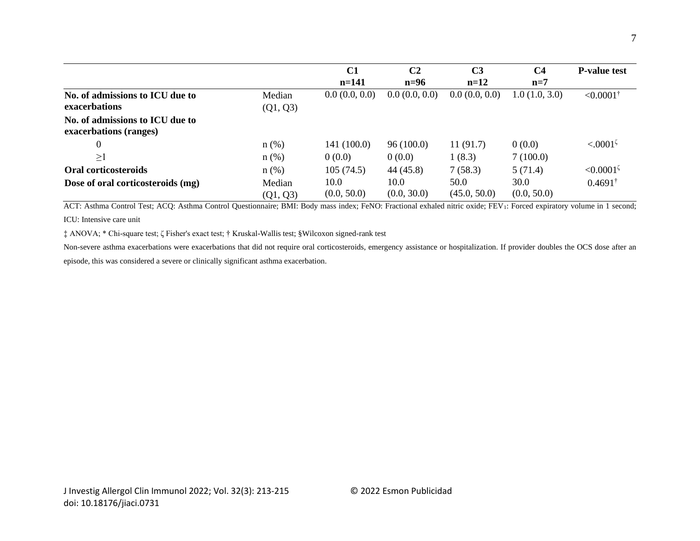|                                                           |                    | C1                  | C <sub>2</sub>      | C <sub>3</sub>       | C <sub>4</sub>      | <b>P-value test</b>  |
|-----------------------------------------------------------|--------------------|---------------------|---------------------|----------------------|---------------------|----------------------|
|                                                           |                    | $n=141$             | $n=96$              | $n=12$               | $n=7$               |                      |
| No. of admissions to ICU due to                           | Median             | 0.0(0.0, 0.0)       | 0.0(0.0, 0.0)       | 0.0(0.0, 0.0)        | 1.0(1.0, 3.0)       | $< 0.0001^{\dagger}$ |
| exacerbations                                             | (Q1, Q3)           |                     |                     |                      |                     |                      |
| No. of admissions to ICU due to<br>exacerbations (ranges) |                    |                     |                     |                      |                     |                      |
| $\boldsymbol{0}$                                          | $n(\%)$            | 141 (100.0)         | 96(100.0)           | 11(91.7)             | 0(0.0)              | $< 0.0001^5$         |
| $\geq$ 1                                                  | $n$ (%)            | 0(0.0)              | 0(0.0)              | 1(8.3)               | 7(100.0)            |                      |
| Oral corticosteroids                                      | $n$ (%)            | 105(74.5)           | 44 (45.8)           | 7(58.3)              | 5(71.4)             | $\leq 0.0001^5$      |
| Dose of oral corticosteroids (mg)                         | Median<br>(Q1, Q3) | 10.0<br>(0.0, 50.0) | 10.0<br>(0.0, 30.0) | 50.0<br>(45.0, 50.0) | 30.0<br>(0.0, 50.0) | $0.4691^{\dagger}$   |

ACT: Asthma Control Test; ACQ: Asthma Control Questionnaire; BMI: Body mass index; FeNO: Fractional exhaled nitric oxide; FEV1: Forced expiratory volume in 1 second;

ICU: Intensive care unit

‡ ANOVA; \* Chi-square test; ζ Fisher's exact test; † Kruskal-Wallis test; §Wilcoxon signed-rank test

Non-severe asthma exacerbations were exacerbations that did not require oral corticosteroids, emergency assistance or hospitalization. If provider doubles the OCS dose after an episode, this was considered a severe or clinically significant asthma exacerbation.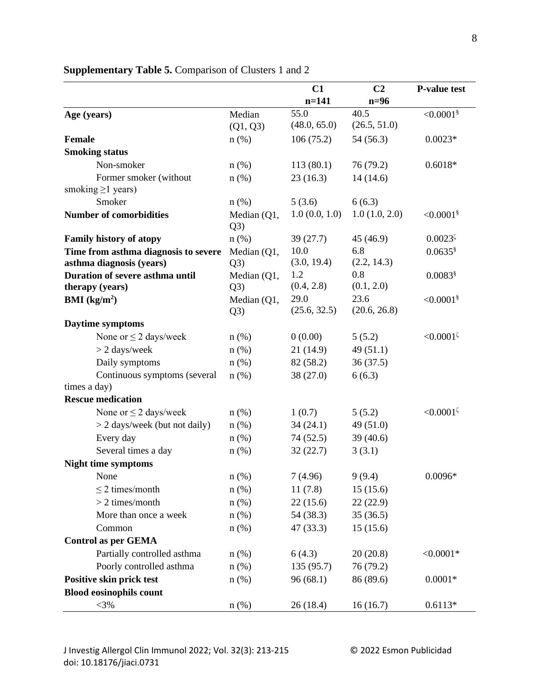|                                        |                      | C1            | C <sub>2</sub> | <b>P-value test</b>     |
|----------------------------------------|----------------------|---------------|----------------|-------------------------|
|                                        |                      | $n=141$       | $n=96$         |                         |
| Age (years)                            | Median               | 55.0          | 40.5           | $< 0.0001$ <sup>§</sup> |
|                                        | (Q1, Q3)             | (48.0, 65.0)  | (26.5, 51.0)   |                         |
| <b>Female</b>                          | $n$ (%)              | 106(75.2)     | 54(56.3)       | $0.0023*$               |
| <b>Smoking status</b>                  |                      |               |                |                         |
| Non-smoker                             | $n$ (%)              | 113(80.1)     | 76 (79.2)      | $0.6018*$               |
| Former smoker (without                 | $n$ (%)              | 23(16.3)      | 14(14.6)       |                         |
| smoking $\geq$ 1 years)                |                      |               |                |                         |
| Smoker                                 | $n$ (%)              | 5(3.6)        | 6(6.3)         |                         |
| <b>Number of comorbidities</b>         | Median $(Q1,$<br>Q3) | 1.0(0.0, 1.0) | 1.0(1.0, 2.0)  | $< 0.0001$ <sup>§</sup> |
| <b>Family history of atopy</b>         | $n$ (%)              | 39(27.7)      | 45 (46.9)      | $0.0023\frac{5}{5}$     |
| Time from asthma diagnosis to severe   | Median (Q1,          | 10.0          | 6.8            | $0.0635$ <sup>§</sup>   |
| asthma diagnosis (years)               | Q3)                  | (3.0, 19.4)   | (2.2, 14.3)    |                         |
| <b>Duration of severe asthma until</b> | Median (Q1,          | 1.2           | 0.8            | $0.0083$ <sup>§</sup>   |
| therapy (years)                        | Q3)                  | (0.4, 2.8)    | (0.1, 2.0)     |                         |
| <b>BMI</b> ( $kg/m2$ )                 | Median (Q1,          | 29.0          | 23.6           | $< 0.0001$ §            |
|                                        | Q3)                  | (25.6, 32.5)  | (20.6, 26.8)   |                         |
| Daytime symptoms                       |                      |               |                |                         |
| None or $\leq$ 2 days/week             | $n$ (%)              | 0(0.00)       | 5(5.2)         | $\leq 0.0001^5$         |
| $> 2$ days/week                        | $n$ (%)              | 21(14.9)      | 49 $(51.1)$    |                         |
| Daily symptoms                         | $n$ (%)              | 82 (58.2)     | 36(37.5)       |                         |
| Continuous symptoms (several           | $n$ (%)              | 38(27.0)      | 6(6.3)         |                         |
| times a day)                           |                      |               |                |                         |
| <b>Rescue medication</b>               |                      |               |                |                         |
| None or $\leq$ 2 days/week             | $n$ (%)              | 1(0.7)        | 5(5.2)         | $< 0.0001^{\zeta}$      |
| $>$ 2 days/week (but not daily)        | $n$ (%)              | 34(24.1)      | 49(51.0)       |                         |
| Every day                              | $n$ (%)              | 74 (52.5)     | 39(40.6)       |                         |
| Several times a day                    | $n$ (%)              | 32(22.7)      | 3(3.1)         |                         |
| <b>Night time symptoms</b>             |                      |               |                |                         |
| None                                   | $n$ (%)              | 7(4.96)       | 9(9.4)         | $0.0096*$               |
| $\leq$ 2 times/month                   | $n$ (%)              | 11(7.8)       | 15(15.6)       |                         |
| $> 2$ times/month                      | $n$ (%)              | 22(15.6)      | 22(22.9)       |                         |
| More than once a week                  | $n$ (%)              | 54 (38.3)     | 35(36.5)       |                         |
| Common                                 | $n$ $(\%)$           | 47 (33.3)     | 15(15.6)       |                         |
| <b>Control as per GEMA</b>             |                      |               |                |                         |
| Partially controlled asthma            | $n$ $(\%)$           | 6(4.3)        | 20(20.8)       | $< 0.0001*$             |
| Poorly controlled asthma               | $n$ (%)              | 135 (95.7)    | 76 (79.2)      |                         |
| Positive skin prick test               | $n$ (%)              | 96(68.1)      | 86 (89.6)      | $0.0001*$               |
| <b>Blood eosinophils count</b>         |                      |               |                |                         |
| $<$ 3%                                 | $n$ (%)              | 26(18.4)      | 16(16.7)       | $0.6113*$               |

## **Supplementary Table 5.** Comparison of Clusters 1 and 2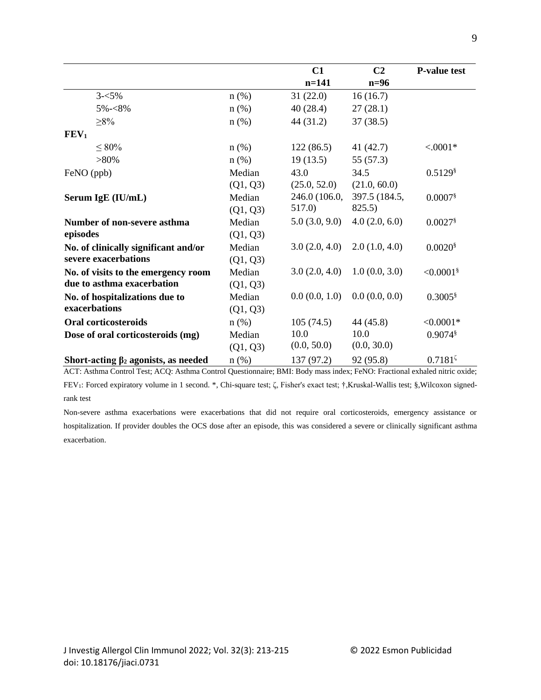|                                            |            | C1            | C <sub>2</sub> | <b>P-value test</b>     |
|--------------------------------------------|------------|---------------|----------------|-------------------------|
|                                            |            | $n=141$       | $n=96$         |                         |
| $3 - 5\%$                                  | $n$ (%)    | 31(22.0)      | 16(16.7)       |                         |
| $5\% - 8\%$                                | $n$ $(\%)$ | 40(28.4)      | 27(28.1)       |                         |
| $\geq 8\%$                                 | $n$ (%)    | 44 (31.2)     | 37(38.5)       |                         |
| FEV <sub>1</sub>                           |            |               |                |                         |
| $\leq 80\%$                                | $n$ (%)    | 122(86.5)     | 41(42.7)       | $< .0001*$              |
| $>80\%$                                    | n(%)       | 19(13.5)      | 55 (57.3)      |                         |
| FeNO (ppb)                                 | Median     | 43.0          | 34.5           | $0.5129$ <sup>§</sup>   |
|                                            | (Q1, Q3)   | (25.0, 52.0)  | (21.0, 60.0)   |                         |
| Serum IgE (IU/mL)                          | Median     | 246.0 (106.0, | 397.5 (184.5,  | $0.0007$ <sup>§</sup>   |
|                                            | (Q1, Q3)   | 517.0)        | 825.5)         |                         |
| Number of non-severe asthma                | Median     | 5.0(3.0, 9.0) | 4.0(2.0, 6.0)  | $0.0027$ <sup>§</sup>   |
| episodes                                   | (Q1, Q3)   |               |                |                         |
| No. of clinically significant and/or       | Median     | 3.0(2.0, 4.0) | 2.0(1.0, 4.0)  | $0.0020$ <sup>§</sup>   |
| severe exacerbations                       | (Q1, Q3)   |               |                |                         |
| No. of visits to the emergency room        | Median     | 3.0(2.0, 4.0) | 1.0(0.0, 3.0)  | $< 0.0001$ <sup>§</sup> |
| due to asthma exacerbation                 | (Q1, Q3)   |               |                |                         |
| No. of hospitalizations due to             | Median     | 0.0(0.0, 1.0) | 0.0(0.0, 0.0)  | $0.3005$ <sup>§</sup>   |
| exacerbations                              | (Q1, Q3)   |               |                |                         |
| <b>Oral corticosteroids</b>                | $n$ (%)    | 105(74.5)     | 44 (45.8)      | $< 0.0001*$             |
| Dose of oral corticosteroids (mg)          | Median     | 10.0          | 10.0           | $0.9074$ <sup>§</sup>   |
|                                            | (Q1, Q3)   | (0.0, 50.0)   | (0.0, 30.0)    |                         |
| Short-acting $\beta_2$ agonists, as needed | $n$ (%)    | 137 (97.2)    | 92 (95.8)      | $0.7181\%$              |

ACT: Asthma Control Test; ACQ: Asthma Control Questionnaire; BMI: Body mass index; FeNO: Fractional exhaled nitric oxide; FEV1: Forced expiratory volume in 1 second. \*, Chi-square test; ζ, Fisher's exact test; †,Kruskal-Wallis test; §,Wilcoxon signedrank test

Non-severe asthma exacerbations were exacerbations that did not require oral corticosteroids, emergency assistance or hospitalization. If provider doubles the OCS dose after an episode, this was considered a severe or clinically significant asthma exacerbation.